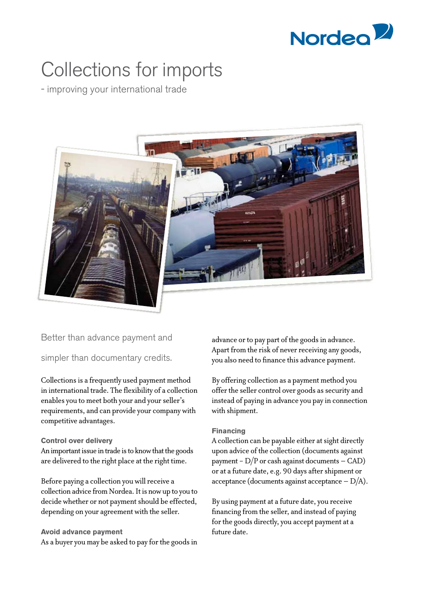

# Collections for imports

- improving your international trade



## Better than advance payment and

simpler than documentary credits.

Collections is a frequently used payment method in international trade. The flexibility of a collection enables you to meet both your and your seller's requirements, and can provide your company with competitive advantages.

### **Control over delivery**

An important issue in trade is to know that the goods are delivered to the right place at the right time.

Before paying a collection you will receive a collection advice from Nordea. It is now up to you to decide whether or not payment should be effected, depending on your agreement with the seller.

### **Avoid advance payment**

As a buyer you may be asked to pay for the goods in

advance or to pay part of the goods in advance. Apart from the risk of never receiving any goods, you also need to finance this advance payment.

By offering collection as a payment method you offer the seller control over goods as security and instead of paying in advance you pay in connection with shipment.

### **Financing**

A collection can be payable either at sight directly upon advice of the collection (documents against payment -  $D/P$  or cash against documents - CAD) or at a future date, e.g. 90 days after shipment or acceptance (documents against acceptance  $-D/A$ ).

By using payment at a future date, you receive financing from the seller, and instead of paying for the goods directly, you accept payment at a future date.